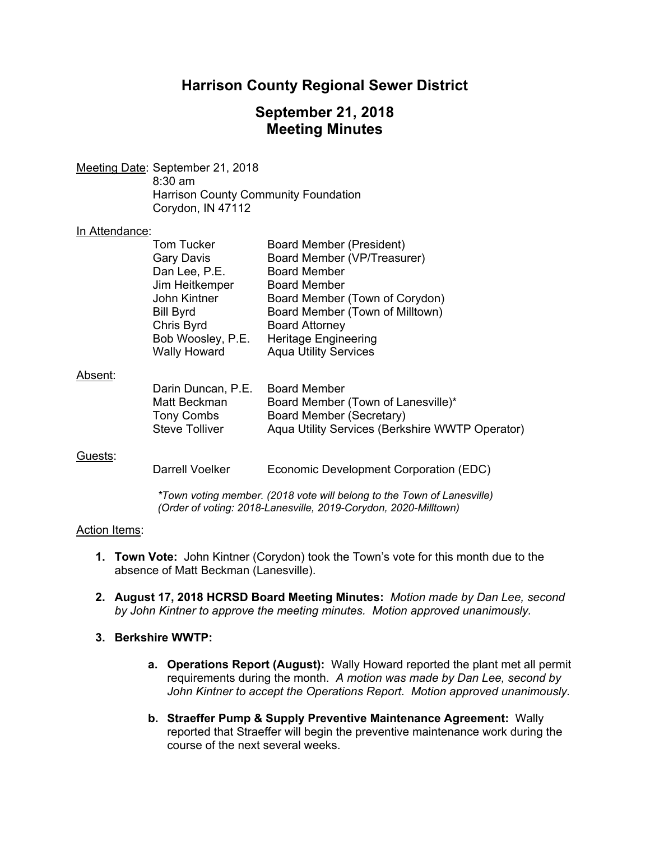# **Harrison County Regional Sewer District**

# **September 21, 2018 Meeting Minutes**

Meeting Date: September 21, 2018 8:30 am Harrison County Community Foundation Corydon, IN 47112

### In Attendance:

| . <del>.</del> <del>.</del> |                       |                                                 |
|-----------------------------|-----------------------|-------------------------------------------------|
|                             | <b>Tom Tucker</b>     | Board Member (President)                        |
|                             | Gary Davis            | Board Member (VP/Treasurer)                     |
|                             | Dan Lee, P.E.         | <b>Board Member</b>                             |
|                             | Jim Heitkemper        | <b>Board Member</b>                             |
|                             | John Kintner          | Board Member (Town of Corydon)                  |
|                             | <b>Bill Byrd</b>      | Board Member (Town of Milltown)                 |
|                             | Chris Byrd            | <b>Board Attorney</b>                           |
|                             | Bob Woosley, P.E.     | Heritage Engineering                            |
|                             | <b>Wally Howard</b>   | <b>Aqua Utility Services</b>                    |
| Absent:                     |                       |                                                 |
|                             | Darin Duncan, P.E.    | <b>Board Member</b>                             |
|                             | Matt Beckman          | Board Member (Town of Lanesville)*              |
|                             | Tony Combs            | Board Member (Secretary)                        |
|                             | <b>Steve Tolliver</b> | Aqua Utility Services (Berkshire WWTP Operator) |

#### Guests:

Darrell Voelker Economic Development Corporation (EDC)

*\*Town voting member. (2018 vote will belong to the Town of Lanesville) (Order of voting: 2018-Lanesville, 2019-Corydon, 2020-Milltown)* 

#### Action Items:

- **1. Town Vote:** John Kintner (Corydon) took the Town's vote for this month due to the absence of Matt Beckman (Lanesville).
- **2. August 17, 2018 HCRSD Board Meeting Minutes:** *Motion made by Dan Lee, second by John Kintner to approve the meeting minutes. Motion approved unanimously.*

### **3. Berkshire WWTP:**

- **a. Operations Report (August):** Wally Howard reported the plant met all permit requirements during the month. *A motion was made by Dan Lee, second by John Kintner to accept the Operations Report. Motion approved unanimously.*
- **b. Straeffer Pump & Supply Preventive Maintenance Agreement:** Wally reported that Straeffer will begin the preventive maintenance work during the course of the next several weeks.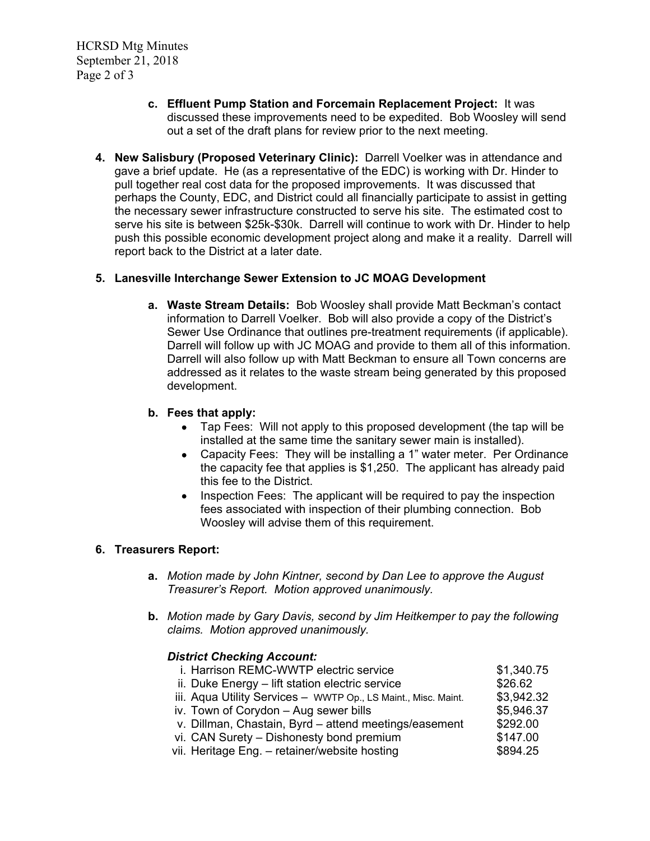HCRSD Mtg Minutes September 21, 2018 Page 2 of 3

- **c. Effluent Pump Station and Forcemain Replacement Project:** It was discussed these improvements need to be expedited. Bob Woosley will send out a set of the draft plans for review prior to the next meeting.
- **4. New Salisbury (Proposed Veterinary Clinic):** Darrell Voelker was in attendance and gave a brief update. He (as a representative of the EDC) is working with Dr. Hinder to pull together real cost data for the proposed improvements. It was discussed that perhaps the County, EDC, and District could all financially participate to assist in getting the necessary sewer infrastructure constructed to serve his site. The estimated cost to serve his site is between \$25k-\$30k. Darrell will continue to work with Dr. Hinder to help push this possible economic development project along and make it a reality. Darrell will report back to the District at a later date.

## **5. Lanesville Interchange Sewer Extension to JC MOAG Development**

**a. Waste Stream Details:** Bob Woosley shall provide Matt Beckman's contact information to Darrell Voelker. Bob will also provide a copy of the District's Sewer Use Ordinance that outlines pre-treatment requirements (if applicable). Darrell will follow up with JC MOAG and provide to them all of this information. Darrell will also follow up with Matt Beckman to ensure all Town concerns are addressed as it relates to the waste stream being generated by this proposed development.

## **b. Fees that apply:**

- Tap Fees: Will not apply to this proposed development (the tap will be installed at the same time the sanitary sewer main is installed).
- Capacity Fees: They will be installing a 1" water meter. Per Ordinance the capacity fee that applies is \$1,250. The applicant has already paid this fee to the District.
- Inspection Fees: The applicant will be required to pay the inspection fees associated with inspection of their plumbing connection. Bob Woosley will advise them of this requirement.

## **6. Treasurers Report:**

- **a.** *Motion made by John Kintner, second by Dan Lee to approve the August Treasurer's Report. Motion approved unanimously.*
- **b.** *Motion made by Gary Davis, second by Jim Heitkemper to pay the following claims. Motion approved unanimously.*

### *District Checking Account:*

| \$3,942.32 |
|------------|
| \$5,946.37 |
| \$292.00   |
| \$147.00   |
| \$894.25   |
|            |